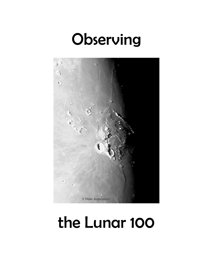# Observing



# the Lunar 100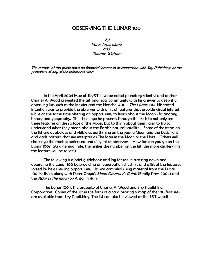# OBSERVING THE LUNAR 100

by Peter Argenziano and Thomas Watson

The authors of this guide have no financial interest in or connection with Sky Publishing, or the publishers of any of the references cited.

In the April 2004 issue of Sky&Telescope noted planetary scientist and author Charles A. Wood presented the astronomical community with his answer to deep sky observing lists such as the Messier and the Herschel 400 - The Lunar 100. His stated intention was to provide the observer with a list of features that provide visual interest while at the same time offering an opportunity to learn about the Moon's fascinating history and geography. The challenge he presents through the list is to not only see these features on the surface of the Moon, but to think about them, and to try to understand what they mean about the Earth's natural satellite. Some of the items on the list are as obvious and visible as earthshine on the young Moon and the basic light and dark pattern that we interpret as The Man in the Moon or the Hare. Others will challenge the most experienced and diligent of observers. How far can you go on the Lunar 100? (As a general rule, the higher the number on the list, the more challenging the feature will be to see.)

 The following is a brief guidebook and log for use in tracking down and observing the Lunar 100 by providing an observation checklist and a list of the features sorted by best viewing opportunity. It was compiled using material from the Lunar 100 list itself, along with Peter Grego's *Moon Observer's Guide* (Firefly Press 2004) and the Atlas of the Moon by Antonin Rukl.

 The Lunar 100 is the property of Charles A. Wood and Sky Publishing Corporation. Copies of the list in the form of a card bearing a map of the 100 features are available from Sky Publishing. The list can also be viewed at the S&T website.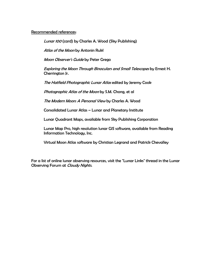### Recommended references:

Lunar 100 (card) by Charles A. Wood (Sky Publishing)

Atlas of the Moon by Antonin Rukl

Moon Observer's Guide by Peter Grego

Exploring the Moon Through Binoculars and Small Telescopes by Ernest H. Cherrington Jr.

The Hatfield Photographic Lunar Atlas edited by Jeremy Cook

Photographic Atlas of the Moon by S.M. Chong, et al

The Modern Moon: A Personal View by Charles A. Wood

Consolidated Lunar Atlas – Lunar and Planetary Institute

Lunar Quadrant Maps, available from Sky Publishing Corporation

Lunar Map Pro, high resolution lunar GIS software, available from Reading Information Technology, Inc.

Virtual Moon Atlas software by Christian Legrand and Patrick Chevalley

For a list of online lunar observing resources, visit the "Lunar Links" thread in the Lunar Observing Forum at Cloudy Nights.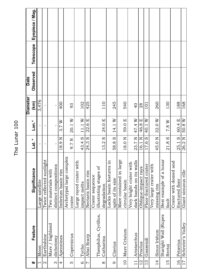#### Eyepiece / Mag. **Observed Telescope Eyepiece / Mag.** Telescope Observed **Date Diameter Diameter** 3,476 1 Moon Large satellite - - 3,476 **(km)** 110 245 540 188 400 102 425 260 130 168  $\overline{0}$ 101 4 Apennines Imbrium basin rim 18.9 N 3.7 W 400 93 impact melts  $|43.4 S| 11.1 W| 102$ 7 Altai Scarp Nectaris basin rim 24.3 S 22.6 E 425 degradation  $|13.2$  S  $|24.0$  E  $|$  110 spite of its size  $\begin{bmatrix} 58.8 \\ 58.8 \\ 14.1 \\ 1 \end{bmatrix}$  245 circular basin  $|18.0 \text{ N} | 59.0 \text{ E} | 540$ 28 missing rim  $|45.0 \text{ N} | 32.0 \text{ W} | 260$ fault  $|21.8 S| 7.8 W| 130$ fractured floor  $|25.1 S| 60.4 E| 188$ 17 Schroter's Valley Giant sinuous rille 26.2 N 50.8 W 16813 Gassendi Floor-fractured crater 17.6 S 40.1 W 101 crater  $9.7 N | 20.1 W | 93$ dark bands on its walls  $23.7$  N | 47.4 W | 40 12 Proclus Oblique-impact rays 16.1 N 46.8 E 28 2 Earthshine Twice reflected sunlight - - distinct compositions - - - 40.1 W  $11.1 W$ 22.6 E 14.1 W 47.4 W 46.8 E 60.4 E 50.8 W  $Lon.<sup>°</sup>$ 20.1 W 24.0 E 59.0 E 32.0 W  $7.8~\mathrm{W}$  $3.7 W$ **# Feature Significance Lat. ° Lon.°** 58.8 S 17.6 S 23.7 N 25.1 S 43.4 S 13.2 S 16.1 N 45.0 N 26.2 N 18.9 N 9.7 N 24.3 S 18.0 N 21.8 S  $\bullet$ <u>lat.</u> Archetypal large complex Archetypal large complex Mare contained in large Best example of a lunar Lacks basin features in Mare contained in large Best example of a lunar Twice reflected sunlight Large rayed crater with dark bands on its walls Crater with domed and Lacks basin features in Large rayed crater with Very bright crater with Crater with domed and Very bright crater with Very large crater with Floor-fractured crater distinct compositions Very large crater with illustrating stages of illustrating stages of Oblique-impact rays Significance Two materials with Two materials with Imbrium basin rim Giant sinuous rille Nectaris basin rim Crater sequence Crater sequence spite of its size fractured floor Large satellite circular basin impact melts degradation missing rim crater fault Theophilus, Cyrillus, Staright Wall (Rupes Theophilus, Cyrillus, Staright Wall (Rupes Mare / highland Schroter's Valley Mare / highland Feature Mare Crisium 10 Mare Crisium Sinus Iridum 14 Sinus Iridum Aristarchus Earthshine Copernicus 11 Aristarchus 5 Copernicus Altai Scarp Apennines dichotomy dichotomy Catharina Catharina Gassendi 16 Petavius 16 Petavius Clavius Proclus 9 Clavius 6 Tycho<br>7 Altai S Recta) Moon  $\frac{1}{1}$  $\overline{13}$  $17$  $10<sub>1</sub>$  $\frac{4}{1}$  $12$ 15  $\circ$ 4 ഗ  $\overline{\mathcal{C}}$ # ო  $\infty$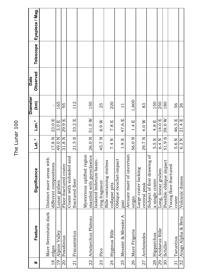#### Eyepiece / Mag. **Observed Telescope Eyepiece / Mag.** Telescope Observed **Date Diameter Diameter** 1,600 **(km)** origin 56.0 N 1.4 E 1,600 112 150 165 150 220 250 180 95  $25$ 56 19 Alpine Valley Lunar graben 49.0 N 3.0 E 165 fractured floor  $|21.5 S| 33.2 E| 112$ mantled with pyroclastics  $|26.0 \text{ N} | 51.0 \text{ W} | 150$ collapse pits  $7.4 N$   $7.8 E$   $220$ 83 a single crater  $\begin{array}{|l|} 5.5 S & 4.8 E & 150 \end{array}$ 29 Aridaeus Rille Long, linear graben 6.4 N 14.0 E 250 30 Schiller Possible oblique impact 51.9 S 39.0 W 180 26  $\overline{1}$ 20 Posidinius Floor-fractured crater 31.8 N 29.9 E 95 ring fragment  $|45.7 \text{ N} | 8.9 \text{ W} | 25$ central peak  $\boxed{29.7 \text{ N} \mid 4.0 \text{ W}}$  83 crater  $5.6 N$  46.5 E 56 32 Arago Alpha & Beta  $\parallel$  Volcanic domes  $\parallel$  6.2 N  $\parallel$  21.4 E  $\parallel$  26  $\mathbf{I}$ pair 1.9 S 47.6 E 11 different compositions  $\begin{array}{|c|c|c|c|c|}\n\hline\n17.8 & N & 23.0 & E & \\\hline\n\end{array}$ 46.5 E  $23.0 E$ 29.9 E  $51.0 W$ 39.0W 21.4 E  $Lon.<sup>°</sup>$  $3.0 E$ 33.2 E 8.9 W  $7.8E$ 47.6 E  $1.4 E$ 4.0 W 14.0 E 4.8 E **# Feature Significance Lat. ° Lon.°** 31.8 N  $17.8~\mathrm{N}$ 49.0 N  $21.5S$ 29.7 N 51.9S Lat. ° 26.0 N 45.7 N  $1.9S$ 56.0 N 5.5 S  $5.6 N$ 6.2 N 7.4 N 6.4 N Arcuate mare of uncertain Mysterious uplifted region Mysterious uplifted region Arcuate mare of uncertain Subject of first drawing of Crater with subsided and mantled with pyroclastics Subject of first drawing of Crater with subsided and Distinct mare areas with Distinct mare areas with Oblique ricochet-impact Rille containing rimless Oblique ricochet-impact Isolated Imbrium basin-Isolated Imbrium basin-Rille containing rimless Possible oblique impact different compositions Floor-fractured crater Young floor-fractured Young floor-fractured Large crater lacking Large crater lacking Significance Long, linear graben Volcanic domes fractured floor a single crater Lunar graben ring fragment collapse pits central peak origin crater pair Mare Serenitatis dark Mare Serenitatis dark Messier & Messier A 25 Messier & Messier A 32 Arago Alpha & Beta Aristarchus Plateau 22 Aristarchus Plateau Feature 29 Aridaeus Rille Hyginus Rille Mare Frigoris 19 Alpine Valley 24 Hyginus Rille 26 Mare Frigoris Fracastorius 21 Fracastorius 28 Hipparchus Archimedes 27 Archimedes 28 Hipparchus 20 Posidinius Taruntius 31 Taruntius Schiller edges Pico 23 Pico 26 25 27 08  $\overline{2}$  $23$  $\frac{4}{3}$  $31$ 18  $\frac{1}{2}$  $\ddagger$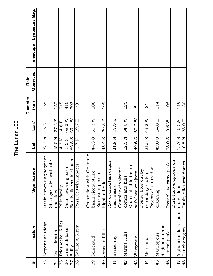#### Eyepiece / Mag. **Observed Telescope Eyepiece / Mag.** Telescope Observed **Date Diameter Diameter (km)** 215 410 206 119 155 152 303 199 125  $114$ 108 130 30 33 Serpentine Ridge Basin inner-ring segment 27.3 N 25.3 E 155 and ridge  $|45.0 \text{ N} | 27.2 \text{ E} | 152$ 35 Triesnecker Rilles Rille family  $|4.3 \text{ N} | 4.6 \text{ E} | 215$ 36 Grimaldi basin Small two-ring basin 5.5 S 68.3 W 410 37 Bailly Barely discernible basin  $|$  66.5 S  $|$  69.1 W  $|$  303 basin ejecta stripe  $|44.3 S| 55.3 W| 206$ highland rille 199.3 B 29.3 E 199 domes and hills  $|12.5 \text{ N}$  54.0 W | 125 cratering  $|42.0 S| 14.0 E| 114$ central peak Possible volcanic peak 28.0 S 0.6 W 108 crater floor  $13.7 S$  3.2 W | 119 48 Cauchy region Fault, rilles and domes  $|10.5 \text{ N}|$  38.0 E  $|$  130 84 84 38 Sabine & Ritter Possible twin impacts 1.7 N 19.7 E 30 with lava or ejecta  $|49.6 S| 60.2 W$  84 secondary craters  $|21.5 S| 49.2 W$  84  $\mathbf{I}$ near Bessel 21.8 N 17.9 E - 38.0 E 27.2 E 68.3 W 69.1 W 19.7 E 55.3 W 39.3 E 54.0 W 60.2 W 49.2W  $3.2W$  $Lon.<sup>°</sup>$ 25.3 E 4.6 E 17.9 E 14.0 E  $0.6 W$ **# Feature Significance Lat. ° Lon.°**  $\overline{10.5 N}$ 45.0 N  $1.7 N$ 5.5 S 66.5 S 44.3 S 45.4 S 21.8 N 12.5 N 49.6 S  $21.5S$ 42.0 S 13.7 S Lat. ° 27.3 N 4.3 N 28.0 S Crater floor with Orientale Crater floor with Orientale Basin inner-ring segment Strange crater with rille Barely discernible basin Dark-halo eruptions on Strange crater with rille Ray of uncertain origin Dark-halo eruptions on Fault, rilles and domes Ray of uncertain origin Crater filled to the rim Crater filled to the rim Possible volcanic peak Possible twin impacts Small two-ring basin Region of saturation Complex of volcanic Region of saturation Complex of volcanic Significance Domed floor cut by Domed floor cut by basin ejecta stripe Rare example of a with lava or ejecta Rare example of a secondary craters domes and hills highland rille near Bessel Rille family crater floor and ridge cratering Alphonsus dark spots 47 Alphonsus dark spots 35 Triesnecker Rilles Serpentine Ridge Regiomontanus Regiomontanus Feature 38 Sabine & Ritter 36 Grimaldi basin 48 Cauchy region Janssen Rille Lacus Mortis 40 Janssen Rille 34 Lacus Mortis central peak Marius Hills 42 Marius Hills Maurolycus 45 Maurolycus Mersenius Wargentin Schickard Bessel ray 41 Bessel ray 43 Wargentin 44 Mersenius 39 Schickard Bailly  $\overline{34}$  $40<sub>1</sub>$  $\frac{4}{4}$  $45$ 39 42 43 46  $\frac{1}{4}$ 47 33 **22**  $\ddagger$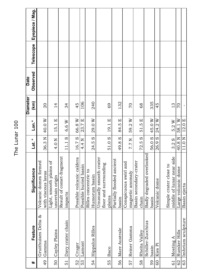#### Eyepiece / Mag. **Observed Telescope Eyepiece / Mag.** Telescope Observed **Date Diameter Diameter (km)** 335 106 240 132  $45$  $\frac{1}{4}$ 20 53 Lamont Possible buried basin 4.4 N 23.7 E 106 Humorum basin  $24.5 S$  |  $29.0 W$  |  $240$ 69 basin  $|49.8$  S  $|84.5$  E  $|$  132 **DZ** 68 basin  $56.0 S$  45.0 W 335 04  $14$ 34  $13$ with viscous lavas  $36.3$  N | 40.0 W | 20 uncertain origin 14.0 N | 15.1 E | 14 impacts  $|11.1 S| 6.6 W$  34 52 | Cruger Possible volcanic caldera  $\parallel$  16.7 S  $\parallel$  66.8 W  $\parallel$  45 plains  $\boxed{51.0 S \mid 19.1 E \mid 69}$ magnetic anomaly  $|7.7 \text{ N} | 59.2 \text{ W} | 70$ chain  $72.5 S$   $51.5 E$  68 60 Kies Pi  $\blacksquare$  Volcanic dome  $26.9$  S  $24.2$  W  $\blacksquare$  45 middle of lunar near side  $\mid$  3.2 S  $\mid$  5.2 W  $\mid$  13 62 Rumker Hills Large volcanic dome  $|40.8 \text{ N} |58.1 \text{ W}|$  70 63 Imbrium sculpture Basin ejecta 11.0 N 12.0 E - $\frac{5.2 \text{ W}}{58.1 \text{ W}}$  $51.5E$ 45.0 W 40.0 W 66.8 W 29.0 W 59.2 W 24.2W  $Lon.<sup>°</sup>$ 15.1 E 23.7 E 19.1 E 84.5 E 12.0 E 6.6 W **# Feature Significance Lat. ° Lon.°** 56.0 S 16.7 S 24.5 S  $51.0S$ 40.8 N 11.0 N Lat. ° 36.3N 4.0 N 11.1 S 49.8 S  $7.7$   $\rm N$  $72.5S$  $3.2S$ 4.4 N Badly degraded overlooked Badly degraded overlooked Result of comet-fragment Result of comet-fragment Unusually smooth crater middle of lunar near side Possible volcanic caldera Unusually smooth crater Partially flooded ancient Partially flooded ancient Basin secondary-crater Volcanic domes formed Volcanic domes formed Light, smooth plains of Conspicuous swirl and Basin secondary-crater Light, smooth plains of Conspicuous swirl and floor and surrounding floor and surrounding Simple crater close to Simple crater close to Possible buried basin Large volcanic dome Significance Rilles concentric to Rilles concentric to with viscous lavas magnetic anomaly uncertain origin Humorum basin Volcanic dome Basin ejecta impacts plains chain basin basin Gruithuisen Delta & Gruithuisen Delta & Imbrium sculpture Schiller-Zucchius Davy crater chain Schiller-Zucchius 51 Davy crater chain Feature **Hippalus Rilles** Reiner Gamma 54 Hippalus Rilles 57 Reiner Gamma Mare Australe 56 Mare Australe Cayley Plains Rumker Hills 50 Cayley Plains Rheita Valley 58 Rheita Valley Mosting A 61 Mosting A Gamma Gamma Cruger Lamont Kies Pi basin Baco 55 Baco  $56$ 60 53 54 58 59 63 50 55<br>Su  $\overline{6}$ 52 57 49  $\overline{51}$ 62  $#$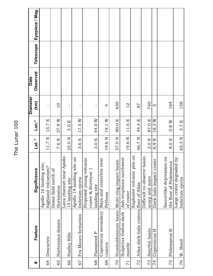#### Eyepiece / Mag. **Observed Telescope Eyepiece / Mag.** Telescope Observed **Date Diameter Diameter (km)** 740 650 164 158 70 Humboldtianum basin Multi-ring impact basin  $\begin{array}{c} |57.0 \text{ N} | 80.0 \text{ E} | 650 \end{array}$  $\frac{1}{2}$ scarp and mare  $\boxed{2.0 \text{ S} \mid 87.0 \text{ E} \mid 740}$ the floor of Ptolemaeus  $8.0 S + 0.8 W + 164$ Imbrium ejecta  $|65.3 \text{ N}|$  3.7 E  $|$  158  $10$ 87 LŊ Hortensius 7.6  $N$  | 27.9  $W$  | 0 of crater  $19.6 \text{ N}$  11.6 E 1 12 floor of Atlas  $46.7$  N |  $44.4$  E |  $87$ ï  $\mathbf{I}$  $\overline{1}$ 4  $\overline{1}$ Pytheas 19.6 N 19.1 W 4 74 Copernicus H Dark-halo impact crater 6.9 N 18.3 W 5 highland volcanism?  $\begin{array}{|l|} \hline \text{11.7 S} & \text{15.7 E} \end{array}$  -15 landing site  $|25.0 \text{ N} | 3.0 \text{ E}$  | Imbrium ejecta 3.6 S 17.5 W landing site  $\begin{array}{c} \n\text{1.3} \\
\text{2.6} \\
\text{3.7} \\
\text{44.0} \\
\end{array}$ 27.9 W  $17.5W$ 44.0W 19.1 W  $11.6E$ 44.4 E 87.0 E  $18.3\ \rm{W}$  $3.7 E$  $Lon.<sup>°</sup>$ 15.7 E  $3.0 E$ 80.0 E  $0.8~\mathrm{W}$ **# Feature Significance Lat. ° Lon.°** 46.7 N 19.6N 19.6N Lat. ° 11.7 S  $7.6$  N 25.0 N  $3.6S$  $3.0S$ 57.0 N  $2.0S$ 6.9 N 8.0 S 65.3 N Explosive volcanic pits on Lava channel near Apollo Explosive volcanic pits on Difficult-to-observe basin Saucerlike depression on Lava channel near Apollo Apollo 14 landing site on Ash eruptions northwest Large crater degraded by Proposed young volcanic Rays and craterlets near Difficult-to-observe basin Saucerlike depression on Large crater degraded by Apollo 14 landing site on Proposed young volcanic Rays and craterlets near Sulpicius Gallus dark Ash eruptions northwest Dark-halo impact crater Humboldtianum basin Multi-ring impact basin the floor of Ptolemaeus Apollo 16 landing site; Apollo 16 landing site; highland volcanism? crater & Surveyor 1 Dome field north of Significance Dome field north of crater & Surveyor 1 scarp and mare 15 landing site Imbrium ejecta Imbrium ejecta Atlas dark-halo craters floor of Atlas landing site Hortensius of crater Pytheas Copernicus secondary Copernicus secondary 72 Atlas dark-halo craters Sulpicius Gallus dark Fra Mauro formation 67 Fra Mauro formation Hortensius domes 65 Hortensius domes Feature Smythii basin Ptolemaeus B 73 Smythii basin 74 Copernicus H 75 Ptolemaeus B Flamsteed P Hadley Rille 68 Flamsteed P 66 Hadley Rille Descartes 64 Descartes W. Bond 76 W. Bond mantle craters  $\frac{1}{66}$ 65 73 76 64 68 75 67  $\overline{C}$  $\overline{2}$ 69 71  $\ddagger$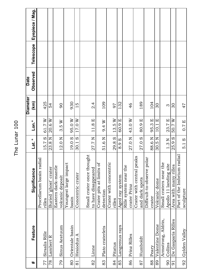|                    |                                                      |                  |                              | <b>Diameter</b> | <b>Date</b> |           |                 |
|--------------------|------------------------------------------------------|------------------|------------------------------|-----------------|-------------|-----------|-----------------|
| Feature            | Significance                                         | Lat. °           | Lon. <sup>°</sup>            | $\mathbf{K}$    | Observed    | Telescope | Eyepiece / Mag. |
|                    | Procellarum basin radial                             |                  |                              |                 |             |           |                 |
| Sirsalis Rille     | rilles                                               | $\omega$<br>15.7 | 61.7W                        | 425             |             |           |                 |
| Lambert R          | Buried ghost crater                                  | 23.8 N           | 20.6 W                       | 54              |             |           |                 |
|                    | Eastern dark-mantle                                  |                  |                              |                 |             |           |                 |
| Sinus Aestuum      | volcanic deposit                                     | 12.0 N           | 3.5W                         | 90              |             |           |                 |
|                    | Youngest large impact                                |                  |                              |                 |             |           |                 |
| Orientale basin    | basin                                                | 19.0 S           | 95.0 W                       | 930             |             |           |                 |
| Hesiodus A         | Concentric crater                                    | $\omega$<br>30.1 | 17.0 W                       | $\frac{5}{1}$   |             |           |                 |
|                    | Small crater once thought                            |                  |                              |                 |             |           |                 |
| Linne              | to have disappeared                                  | 27.7 N           | $11.8 E$                     | $\ddot{a}$      |             |           |                 |
| Plato craterlets   | b <sup>t</sup><br>Crater pits at limits<br>detection | 51.6 N           | 9.4 W                        | 109             |             |           |                 |
|                    |                                                      |                  |                              |                 |             |           |                 |
|                    | Crater with concentric                               |                  |                              |                 |             |           |                 |
| Pitatus            | rilles                                               | $\Omega$<br>29.8 | 13.5W                        | 97              |             |           |                 |
| Langrenus rays     | Aged ray system                                      | 8.9 S            | $\mathbf{E}$<br>60.9         | 132             |             |           |                 |
|                    | Rille system near the                                |                  |                              |                 |             |           |                 |
| Prinz Rilles       | crater Prinz                                         | 27.0 N           | 43.0 W                       | 46              |             |           |                 |
|                    | Crater with central peaks                            |                  |                              |                 |             |           |                 |
| Humboldt           | and dark spots                                       | 27.0 S           | $\boxed{\mathbf{L}}$<br>80.9 | 189             |             |           |                 |
|                    | Difficult-to-observe polar                           |                  |                              |                 |             |           |                 |
| Peary              | crater                                               | 88.6 N           | $\boxed{\mathbf{r}}$<br>95.3 | 104             |             |           |                 |
| Valentine Dome     | Volcanic dome                                        | 30.5 N           | $\boxed{1}$<br>10.1          | 30              |             |           |                 |
| Armstrong, Aldrin, | Small craters near the                               |                  |                              |                 |             |           |                 |
| Collins            | Apollo 11 landing site                               | 1.3 <sub>N</sub> | 23.7 E                       | $\infty$        |             |           |                 |
| De Gasparis Rilles | Area with many rilles                                | $\omega$<br>25.9 | 50.7 W                       | $\infty$        |             |           |                 |
|                    | radial<br>Part of the Imbrium                        |                  |                              |                 |             |           |                 |
| Gylden Valley      | sculpture                                            | 5.1S             | 0.7 E                        | 47              |             |           |                 |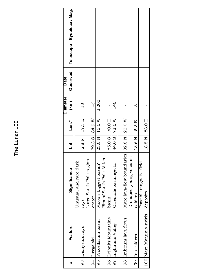Eyepiece / Mag. **Observed Telescope Eyepiece / Mag.** Telescope Observed **Date Diameter Diameter** 3,200 **(km)** 149 95 Procellarum basin Moon's biggest basin? 23.0 N 15.0 W 3,200 140  $18$ crater  $[79.3 \ S \ 149$ 97 Inghirami Valley Orientale basin ejecta 44.0 S 73.0 W 140 rays  $|2.8 \text{ N} | 17.3 \text{ E} | 18$  $\infty$  $\overline{1}$  $\overline{1}$  $\overline{1}$ caldera  $18.6$  N  $\mid\,$  5.3 E  $\mid\,$  3 basin 85.0 S 30.0 E | 98 Imbrium lava flows Mare lava-flow boundaries 32.8 N 22.0 W deposits  $18.5$  N  $88.0$  E  $\vert$ 84.9 W  $17.3 E$  $15.0\ \rm{W}$  $22.0W$ 30.0 E 73.0 W  $5.3 E$  $Lon.<sup>°</sup>$ 88.0 E **# Feature Significance Lat. ° Lon.°**  $23.0 N$ 79.3 S 85.0 S 44.0 S 32.8 N 18.5N Lat. ° 18.6N  $2.8<sub>N</sub>$ Mare lava-flow boundaries Rim of South Pole-Aitken D-shaped young volcanic D-shaped young volcanic Rim of South Pole-Aitken Large South Pole-region Large South Pole-region Unusual and rare dark Possible magnetic-field Unusual and rare dark Possible magnetic-field Moon's biggest basin? Orientale basin ejecta Significance deposits caldera crater basin rays 100 Mare Marginis swirls 100 Mare Marginis swirls 96 Leibnitz Mountains Imbrium lava flows 96 Leibnitz Mountains 95 Procellarum basin 97 Inghirami Valley Feature Dionysius rays 93 Dionysius rays 99 Ina caldera 99 Ina caldera 94 Drygalski 94 Drygalski 98 93  $\ddot{}$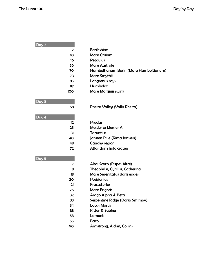| Day 2             |                                        |
|-------------------|----------------------------------------|
| $\mathbf{2}$      | Earthshine                             |
| 10                | <b>Mare Crisium</b>                    |
| 16                | <b>Petavius</b>                        |
| 56                | <b>Mare Australe</b>                   |
| 70                | Humboltianum Basin (Mare Humboltianum) |
| 73                | Mare Smythii                           |
| 85                | Langrenus rays                         |
| 87                | Humboldt                               |
| 100               | <b>Mare Marginis swirls</b>            |
| Day 3             |                                        |
| 58                | <b>Rheita Valley (Vallis Rheita)</b>   |
| Day 4             |                                        |
| $12 \overline{ }$ | <b>Proclus</b>                         |
| 25                | Messier & Messier A                    |
| 31                | <b>Taruntius</b>                       |
| 40                | Janssen Rille (Rima Janssen)           |
| 48                | Cauchy region                          |
| 72                | Atlas dark halo craters                |
| Day 5             |                                        |
| 7                 | Altai Scarp (Rupes Altai)              |
| 8                 | Theophilus, Cyrillus, Catherina        |
| 18                | Mare Serenitatus dark edges            |
| 20                | <b>Posidonius</b>                      |
| 21                | Fracastorius                           |
| 26                | <b>Mare Frigoris</b>                   |
| 32                | Arago Alpha & Beta                     |
| 33                | Serpentine Ridge (Dorsa Smirnov)       |
| 34                | <b>Lacus Mortis</b>                    |
| 38                | <b>Ritter &amp; Sabine</b>             |
| 53                | Lamont                                 |
| 55                | <b>Baco</b>                            |
| 90                | Armstrong, Aldrin, Collins             |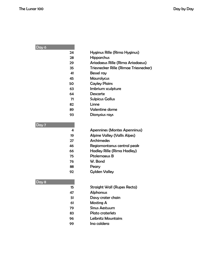| Day 6       |                                       |
|-------------|---------------------------------------|
| 24          | Hyginus Rille (Rima Hyginus)          |
| 28          | <b>Hipparchus</b>                     |
| 29          | Ariadaeus Rille (Rima Ariadaeus)      |
| 35          | Triesnecker Rille (Rimae Triesnecker) |
| 41          | Bessel ray                            |
| 45          | <b>Maurolycus</b>                     |
| 50          | <b>Cayley Plains</b>                  |
| 63          | Imbrium sculpture                     |
| 64          | Descarte                              |
| 71          | <b>Sulpicus Gallus</b>                |
| 82          | Linne                                 |
| 89          | <b>Valentine dome</b>                 |
| 93          | Dionysius rays                        |
|             |                                       |
| Day 7       |                                       |
| 4           | <b>Apennines (Montes Apenninus)</b>   |
| 19          | <b>Alpine Valley (Vallis Alpes)</b>   |
| 27          | <b>Archimedes</b>                     |
| 46          | Regiomontanus central peak            |
| 66          | Hadley Rille (Rima Hadley)            |
| 75          | Ptolemaeus B                          |
| 76          | W. Bond                               |
| 88          | Peary                                 |
| 92          | <b>Gylden Valley</b>                  |
|             |                                       |
| Day 8<br>15 | <b>Straight Wall (Rupes Recta)</b>    |
|             | <b>Alphonsus</b>                      |
| 47<br>51    | Davy crater chain                     |
| 61          | <b>Mosting A</b>                      |
| 79          | <b>Sinus Aestuum</b>                  |
| 83          | Plato craterlets                      |
| 96          | Leibnitz Mountains                    |
| 99          | Ina caldera                           |
|             |                                       |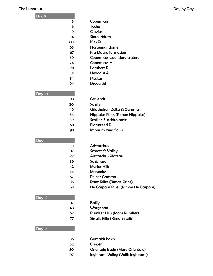### The Lunar 100 Day by Day by Day by Day by Day by Day by Day by Day by Day by Day by Day by Day by Day by Day by Day by Day by Day by Day by Day by Day by Day by Day by Day by Day by Day by Day by Day by Day by Day by Day b

| Day 9         |                                          |
|---------------|------------------------------------------|
| 5             | Copernicus                               |
| 6             | Tycho                                    |
| 9             | <b>Clavius</b>                           |
| 14            | <b>Sinus Iridum</b>                      |
| 60            | <b>Kies Pi</b>                           |
| 65            | Hortensius dome                          |
| 67            | <b>Fra Mauro formation</b>               |
| 69            | Copernicus secondary craters             |
| 74            | <b>Copernicus H</b>                      |
| 78            | <b>Lambert R</b>                         |
| 81            | <b>Hesiodus A</b>                        |
| 84            | <b>Pitatus</b>                           |
| 94            | Drygalski                                |
|               |                                          |
| Day 10        |                                          |
| 13            | Gassendi                                 |
| 30            | <b>Schiller</b>                          |
| 49            | Griuthuisen Delta & Gamma                |
| 54            | Hippalus Rilles (Rimae Hippalus)         |
| 59            | Schiller-Zucchius basin                  |
| 68            | <b>Flamsteed P</b><br>Imbrium lava flows |
| 98            |                                          |
| Day 11        |                                          |
| 11            | <b>Aristarchus</b>                       |
| 17            | <b>Schroter's Valley</b>                 |
| 22            | <b>Aristarchus Plateau</b>               |
| 39            | <b>Schickard</b>                         |
| 42            | <b>Marius Hills</b>                      |
| 44            | <b>Mersenius</b>                         |
| 57            | <b>Reiner Gamma</b>                      |
| 86            | <b>Prinz Rilles (Rimae Prinz)</b>        |
| 91            | De Gasparis Rilles (Rimae De Gasparis)   |
|               |                                          |
| <b>Day 12</b> |                                          |
| 37            | <b>Bailly</b>                            |
| 43            | Wargentin                                |
| 62            | <b>Rumker Hills (Mons Rumker)</b>        |
| 77            | Sirsalis Rille (Rima Sirsalis)           |
|               |                                          |
| Day 13        |                                          |
|               |                                          |
| 36            | Grimaldi basin                           |
| 52            | Cruger                                   |
| 80            | Orientale Basin (Mare Orientale)         |
| 97            | Inghirami Valley (Vallis Inghirami)      |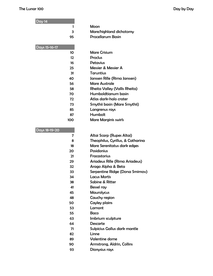## The Lunar 100 Day by Day

| Day 14          |                                      |
|-----------------|--------------------------------------|
| 1               | Moon                                 |
| З               | Mare/highland dichotomy              |
| 95              | <b>Procellarum Basin</b>             |
| Days 15-16-17   |                                      |
| 10 <sup>2</sup> | <b>Mare Crisium</b>                  |
| 12              | <b>Proclus</b>                       |
| 16              | Petavius                             |
| 25              | Messier & Messier A                  |
| 31              | Taruntius                            |
| 40              | Janssen Rille (Rima Janssen)         |
| 56              | <b>Mare Australe</b>                 |
| 58              | <b>Rheita Valley (Vallis Rheita)</b> |
| 70              | Humboldtianum basin                  |
| 72              | Atlas dark-halo crater               |
| 73              | Smythii basin (Mare Smythii)         |
| 85              | Langrenus rays                       |
| 87              | Humbolt                              |
| 100             | <b>Mare Marginis swirls</b>          |
|                 |                                      |
| Days 18-19-20   |                                      |
| 7               | Altai Scarp (Rupes Altai)            |
| 8               | Theophilus, Cyrillus, & Catharina    |
| 18              | Mare Serenitatus dark edges          |
| 20              | <b>Posidonius</b>                    |
| 21              | <b>Fracastorius</b>                  |
| 29              | Ariadeus Rille (Rima Ariadeus)       |
| 32              | Arago Alpha & Beta                   |
| 33              | Serpentine Ridge (Dorsa Smirnov)     |
| 34              | <b>Lacus Mortis</b>                  |
| 38              | Sabine & Ritter                      |
| 41              | Bessel ray                           |
| 45              | <b>Maurolycus</b>                    |
| 48              | Cauchy region                        |
| 50              | Cayley plains                        |
| 53              | Lamont                               |
| 55              | <b>Baco</b>                          |
| 63              | Imbrium sculpture                    |
| 64              | <b>Descarte</b>                      |
| 71              | Sulpicius Gallus dark mantle         |
| n.              | $l$ inner                            |

- 82 Linne
- 89 Valentine dome
- 90 Armstrong, Aldrin, Collins
- 93 Dionysius rays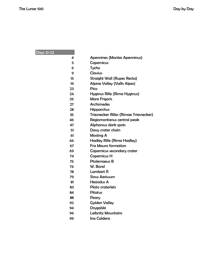Days 21-22

|  |  | <b>Apennines (Montes Apenninus)</b> |
|--|--|-------------------------------------|
|--|--|-------------------------------------|

- 5 Copernicus
- 6 Tycho
- 9 Clavius
- 15 Straight Wall (Rupes Recta)
- 19 Alpine Valley (Vallis Alpes)
- 23 Pico
- 24 Hyginus Rille (Rima Hyginus)
- 26 Mare Frigoris
- 27 Archimedes
- 28 Hipparchus
- 35 Triesnecker Rilles (Rimae Triesnecker)
- 46 Regiomontanus central peak
- 47 Alphonsus dark spots
- 51 Davy crater chain
- 61 Mosting A
- 66 Hadley Rille (Rima Hadley)
- 67 Fra Mauro formation
- 69 Copernicus secondary crater
- 74 Copernicus H
- 75 Ptolemaeus B
- 76 W. Bond
- 78 Lambert R
- 79 Sinus Aestuum
- 81 Hesiodus A
- 83 Plato craterlets
- 84 Pitatus
- 88 Peary
- 92 Gylden Valley
- 94 Drygalski
- 96 Leibnitz Mountains
- 99 Ina Caldera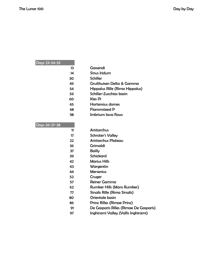## Days 23-24-25

| 13            | Gassendi                               |
|---------------|----------------------------------------|
| 14            | <b>Sinus Iridum</b>                    |
| 30            | <b>Schiller</b>                        |
| 49            | Gruithuisen Delta & Gamma              |
| 54            | Hippalus Rille (Rima Hippalus)         |
| 59            | Schiller-Zucchias basin                |
| 60            | <b>Kies Pi</b>                         |
| 65            | Hortensius domes                       |
| 68            | <b>Flammsteed P</b>                    |
| 98            | Imbrium lava flows                     |
| Days 26-27-28 |                                        |
| 11            | <b>Aristarchus</b>                     |
| 17            | <b>Schroter's Valley</b>               |
| 22            | <b>Aristarchus Plateau</b>             |
| 36            | <b>Grimaldi</b>                        |
| 37            | <b>Bailly</b>                          |
| 39            | <b>Schickard</b>                       |
| 42            | <b>Marius Hills</b>                    |
| 43            | Wargentin                              |
| 44            | <b>Mersenius</b>                       |
| 52            | Cruger                                 |
| 57            | <b>Reiner Gamma</b>                    |
| 62            | <b>Rumker Hills (Mons Rumker)</b>      |
| 77            | <b>Sirsalis Rille (Rima Sirsalis)</b>  |
| 80            | Orientale basin                        |
| 86            | <b>Prinz Rilles (Rimae Prinz)</b>      |
| 91            | De Gasparis Rilles (Rimae De Gasparis) |
| 97            | Inghirami Valley (Vallis Inghirami)    |